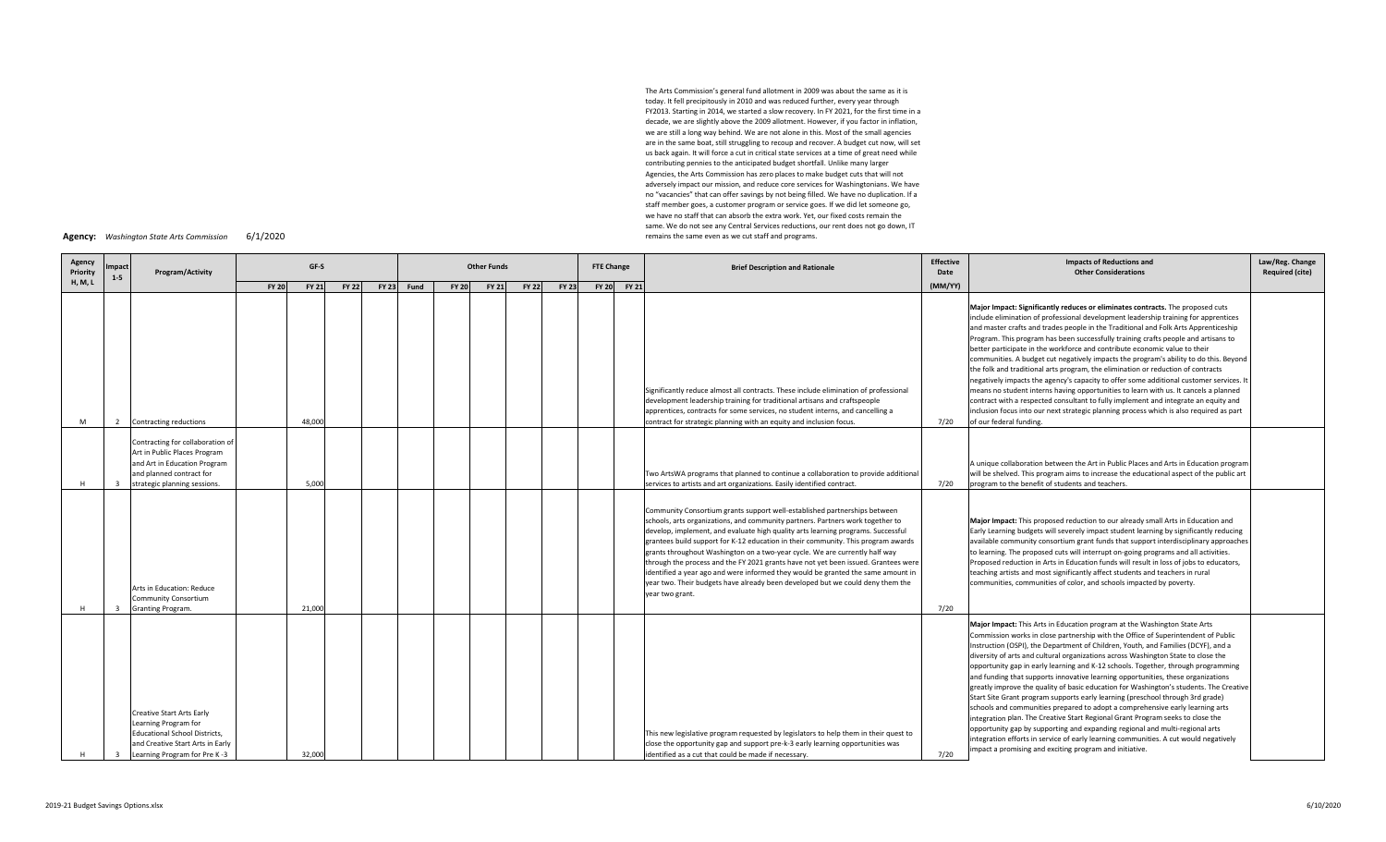The Arts Commission's general fund allotment in 2009 was about the same as it is today. It fell precipitously in 2010 and was reduced further, every year through FY2013. Starting in 2014, we started <sup>a</sup> slow recovery. In FY 2021, for the first time in <sup>a</sup> decade, we are slightly above the 2009 allotment. However, if you factor in inflation, we are still <sup>a</sup> long way behind. We are not alone in this. Most of the small agencies are in the same boat, still struggling to recoup and recover. A budget cut now, will set us back again. It will force <sup>a</sup> cut in critical state services at <sup>a</sup> time of great need while contributing pennies to the anticipated budget shortfall. Unlike many larger Agencies, the Arts Commission has zero places to make budget cuts that will not adversely impact our mission, and reduce core services for Washingtonians. We have no "vacancies" that can offer savings by not being filled. We have no duplication. If <sup>a</sup> staff member goes, <sup>a</sup> customer program or service goes. If we did let someone go, we have no staff that can absorb the extra work. Yet, our fixed costs remain the same. We do not see any Central Services reductions, our rent does not go down, IT remains the same even as we cut staff and programs.

| Agency: | Washington State Arts Commission | 6/1/2020 |
|---------|----------------------------------|----------|
|         |                                  |          |

| Agency<br>Priority | mpact<br>$1 - 5$ | Program/Activity                                                                                                                                                     |              | GF-S         |              | <b>Other Funds</b> |              |              |              |              |  | <b>FTE Change</b> | <b>Brief Description and Rationale</b>                                                                                                                                                                                                                                                                                                                                                                                                                                                                                                                                                                                                                                                            | <b>Effective</b><br>Date | <b>Impacts of Reductions and</b><br><b>Other Considerations</b>                                                                                                                                                                                                                                                                                                                                                                                                                                                                                                                                                                                                                                                                                                                                                                                                                                                                                                                                                                                                                                     | Law/Reg. Change<br><b>Required (cite)</b> |
|--------------------|------------------|----------------------------------------------------------------------------------------------------------------------------------------------------------------------|--------------|--------------|--------------|--------------------|--------------|--------------|--------------|--------------|--|-------------------|---------------------------------------------------------------------------------------------------------------------------------------------------------------------------------------------------------------------------------------------------------------------------------------------------------------------------------------------------------------------------------------------------------------------------------------------------------------------------------------------------------------------------------------------------------------------------------------------------------------------------------------------------------------------------------------------------|--------------------------|-----------------------------------------------------------------------------------------------------------------------------------------------------------------------------------------------------------------------------------------------------------------------------------------------------------------------------------------------------------------------------------------------------------------------------------------------------------------------------------------------------------------------------------------------------------------------------------------------------------------------------------------------------------------------------------------------------------------------------------------------------------------------------------------------------------------------------------------------------------------------------------------------------------------------------------------------------------------------------------------------------------------------------------------------------------------------------------------------------|-------------------------------------------|
| <b>H, M, L</b>     |                  |                                                                                                                                                                      | <b>FY 20</b> | <b>FY 21</b> | <b>FY 22</b> | FY 23 Fund         | <b>FY 20</b> | <b>FY 21</b> | <b>FY 22</b> | <b>FY 23</b> |  | FY 20 FY 21       |                                                                                                                                                                                                                                                                                                                                                                                                                                                                                                                                                                                                                                                                                                   | (MM/YY)                  |                                                                                                                                                                                                                                                                                                                                                                                                                                                                                                                                                                                                                                                                                                                                                                                                                                                                                                                                                                                                                                                                                                     |                                           |
| м                  | 2                | Contracting reductions                                                                                                                                               |              | 48,000       |              |                    |              |              |              |              |  |                   | Significantly reduce almost all contracts. These include elimination of professional<br>development leadership training for traditional artisans and craftspeople<br>apprentices, contracts for some services, no student interns, and cancelling a<br>contract for strategic planning with an equity and inclusion focus.                                                                                                                                                                                                                                                                                                                                                                        | 7/20                     | Major Impact: Significantly reduces or eliminates contracts. The proposed cuts<br>include elimination of professional development leadership training for apprentices<br>and master crafts and trades people in the Traditional and Folk Arts Apprenticeship<br>Program. This program has been successfully training crafts people and artisans to<br>better participate in the workforce and contribute economic value to their<br>communities. A budget cut negatively impacts the program's ability to do this. Beyond<br>the folk and traditional arts program, the elimination or reduction of contracts<br>negatively impacts the agency's capacity to offer some additional customer services. It<br>means no student interns having opportunities to learn with us. It cancels a planned<br>contract with a respected consultant to fully implement and integrate an equity and<br>inclusion focus into our next strategic planning process which is also required as part<br>of our federal funding.                                                                                       |                                           |
|                    | $\mathbf{3}$     | Contracting for collaboration of<br>Art in Public Places Program<br>and Art in Education Program<br>and planned contract for<br>strategic planning sessions.         |              | 5,000        |              |                    |              |              |              |              |  |                   | Two ArtsWA programs that planned to continue a collaboration to provide additional<br>services to artists and art organizations. Easily identified contract.                                                                                                                                                                                                                                                                                                                                                                                                                                                                                                                                      | 7/20                     | A unique collaboration between the Art in Public Places and Arts in Education program<br>will be shelved. This program aims to increase the educational aspect of the public art<br>program to the benefit of students and teachers.                                                                                                                                                                                                                                                                                                                                                                                                                                                                                                                                                                                                                                                                                                                                                                                                                                                                |                                           |
|                    |                  | Arts in Education: Reduce<br><b>Community Consortium</b><br>Granting Program.                                                                                        |              | 21,000       |              |                    |              |              |              |              |  |                   | Community Consortium grants support well-established partnerships between<br>schools, arts organizations, and community partners. Partners work together to<br>develop, implement, and evaluate high quality arts learning programs. Successful<br>grantees build support for K-12 education in their community. This program awards<br>grants throughout Washington on a two-year cycle. We are currently half way<br>through the process and the FY 2021 grants have not yet been issued. Grantees were<br>dentified a year ago and were informed they would be granted the same amount in<br>year two. Their budgets have already been developed but we could deny them the<br>year two grant. | 7/20                     | Major Impact: This proposed reduction to our already small Arts in Education and<br>Early Learning budgets will severely impact student learning by significantly reducing<br>available community consortium grant funds that support interdisciplinary approaches<br>to learning. The proposed cuts will interrupt on-going programs and all activities.<br>Proposed reduction in Arts in Education funds will result in loss of jobs to educators,<br>teaching artists and most significantly affect students and teachers in rural<br>communities, communities of color, and schools impacted by poverty.                                                                                                                                                                                                                                                                                                                                                                                                                                                                                        |                                           |
| H                  | ્ર               | <b>Creative Start Arts Early</b><br>Learning Program for<br><b>Educational School Districts,</b><br>and Creative Start Arts in Early<br>Learning Program for Pre K-3 |              | 32,000       |              |                    |              |              |              |              |  |                   | This new legislative program requested by legislators to help them in their quest to<br>close the opportunity gap and support pre-k-3 early learning opportunities was<br>identified as a cut that could be made if necessary.                                                                                                                                                                                                                                                                                                                                                                                                                                                                    | 7/20                     | Major Impact: This Arts in Education program at the Washington State Arts<br>Commission works in close partnership with the Office of Superintendent of Public<br>Instruction (OSPI), the Department of Children, Youth, and Families (DCYF), and a<br>diversity of arts and cultural organizations across Washington State to close the<br>opportunity gap in early learning and K-12 schools. Together, through programming<br>and funding that supports innovative learning opportunities, these organizations<br>greatly improve the quality of basic education for Washington's students. The Creative<br>Start Site Grant program supports early learning (preschool through 3rd grade)<br>schools and communities prepared to adopt a comprehensive early learning arts<br>integration plan. The Creative Start Regional Grant Program seeks to close the<br>opportunity gap by supporting and expanding regional and multi-regional arts<br>integration efforts in service of early learning communities. A cut would negatively<br>impact a promising and exciting program and initiative. |                                           |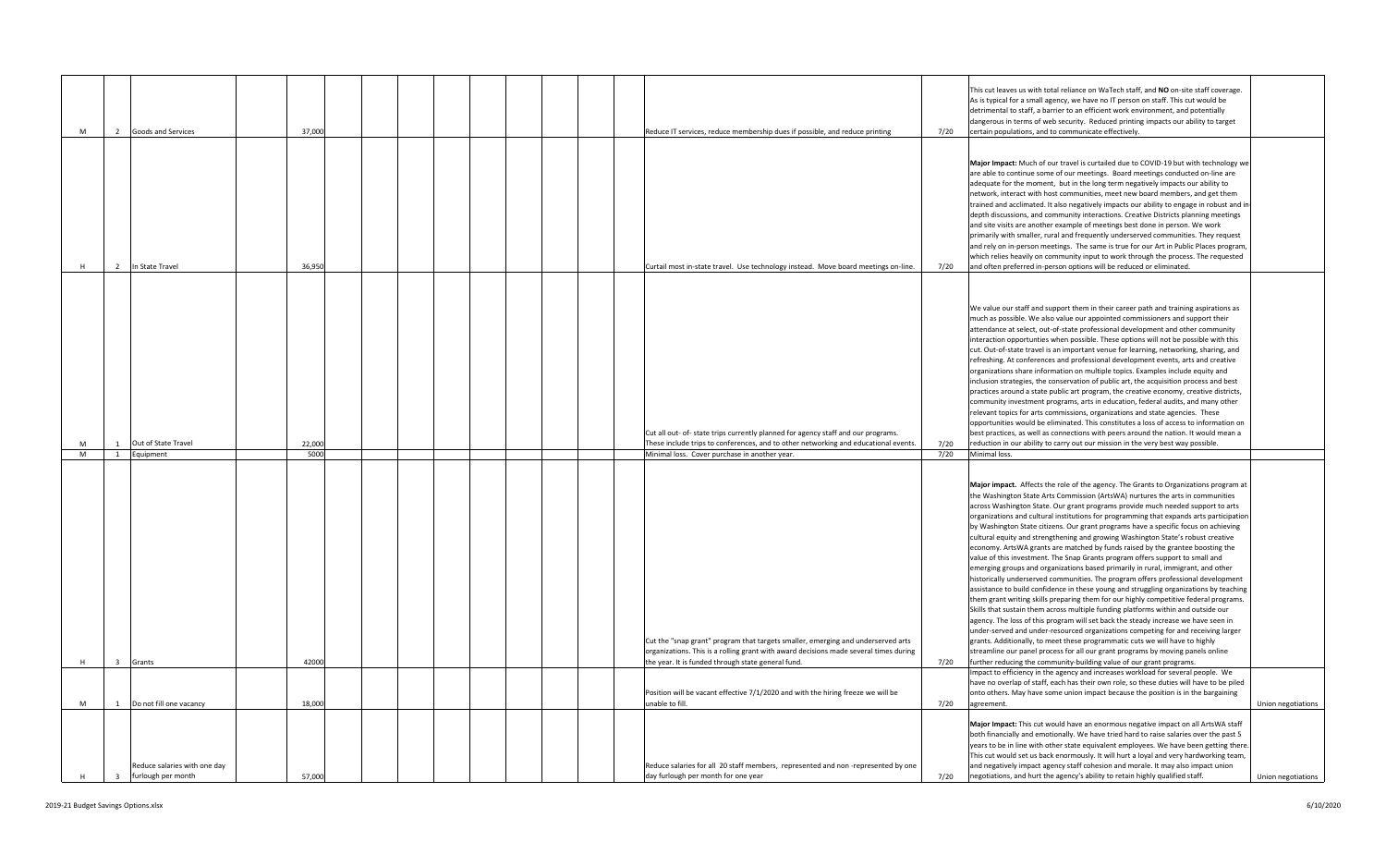|   |                         |                                                    |        |  |  |  |                                                                                                                                                                                                                                                                                                                     |      | This cut leaves us with total reliance on WaTech staff, and NO on-site staff coverage.<br>As is typical for a small agency, we have no IT person on staff. This cut would be<br>detrimental to staff, a barrier to an efficient work environment, and potentially<br>dangerous in terms of web security. Reduced printing impacts our ability to target                                                                                                                                                                                                                                                                                                                                                                                                                                                                                                                                                                                                                                                                                                                                                                                                                                                                                                                                                                                                                                                                                                                                                                                                                                                                                                                                                                                                                                                                                        |                    |
|---|-------------------------|----------------------------------------------------|--------|--|--|--|---------------------------------------------------------------------------------------------------------------------------------------------------------------------------------------------------------------------------------------------------------------------------------------------------------------------|------|------------------------------------------------------------------------------------------------------------------------------------------------------------------------------------------------------------------------------------------------------------------------------------------------------------------------------------------------------------------------------------------------------------------------------------------------------------------------------------------------------------------------------------------------------------------------------------------------------------------------------------------------------------------------------------------------------------------------------------------------------------------------------------------------------------------------------------------------------------------------------------------------------------------------------------------------------------------------------------------------------------------------------------------------------------------------------------------------------------------------------------------------------------------------------------------------------------------------------------------------------------------------------------------------------------------------------------------------------------------------------------------------------------------------------------------------------------------------------------------------------------------------------------------------------------------------------------------------------------------------------------------------------------------------------------------------------------------------------------------------------------------------------------------------------------------------------------------------|--------------------|
| M | $\overline{2}$          | Goods and Services                                 | 37,000 |  |  |  | Reduce IT services, reduce membership dues if possible, and reduce printing                                                                                                                                                                                                                                         | 7/20 | certain populations, and to communicate effectively.                                                                                                                                                                                                                                                                                                                                                                                                                                                                                                                                                                                                                                                                                                                                                                                                                                                                                                                                                                                                                                                                                                                                                                                                                                                                                                                                                                                                                                                                                                                                                                                                                                                                                                                                                                                           |                    |
|   | $\overline{2}$          | In State Travel                                    | 36.95  |  |  |  | Curtail most in-state travel. Use technology instead. Move board meetings on-line.                                                                                                                                                                                                                                  | 7/20 | Major Impact: Much of our travel is curtailed due to COVID-19 but with technology we<br>are able to continue some of our meetings. Board meetings conducted on-line are<br>adequate for the moment, but in the long term negatively impacts our ability to<br>network, interact with host communities, meet new board members, and get them<br>rained and acclimated. It also negatively impacts our ability to engage in robust and ir<br>depth discussions, and community interactions. Creative Districts planning meetings<br>and site visits are another example of meetings best done in person. We work<br>primarily with smaller, rural and frequently underserved communities. They request<br>and rely on in-person meetings. The same is true for our Art in Public Places program<br>which relies heavily on community input to work through the process. The requested<br>and often preferred in-person options will be reduced or eliminated.                                                                                                                                                                                                                                                                                                                                                                                                                                                                                                                                                                                                                                                                                                                                                                                                                                                                                    |                    |
|   | 1                       | Out of State Travel                                | 22,000 |  |  |  | Cut all out- of- state trips currently planned for agency staff and our programs.<br>These include trips to conferences, and to other networking and educational events.                                                                                                                                            | 7/20 | We value our staff and support them in their career path and training aspirations as<br>much as possible. We also value our appointed commissioners and support their<br>attendance at select, out-of-state professional development and other community<br>interaction opportunties when possible. These options will not be possible with this<br>cut. Out-of-state travel is an important venue for learning, networking, sharing, and<br>refreshing. At conferences and professional development events, arts and creative<br>organizations share information on multiple topics. Examples include equity and<br>inclusion strategies, the conservation of public art, the acquisition process and best<br>practices around a state public art program, the creative economy, creative districts,<br>community investment programs, arts in education, federal audits, and many other<br>relevant topics for arts commissions, organizations and state agencies. These<br>opportunities would be eliminated. This constitutes a loss of access to information on<br>best practices, as well as connections with peers around the nation. It would mean a<br>reduction in our ability to carry out our mission in the very best way possible.                                                                                                                                                                                                                                                                                                                                                                                                                                                                                                                                                                                               |                    |
| M |                         | 1 Equipment                                        | 5000   |  |  |  | Minimal loss. Cover purchase in another year.                                                                                                                                                                                                                                                                       | 7/20 | Minimal loss.                                                                                                                                                                                                                                                                                                                                                                                                                                                                                                                                                                                                                                                                                                                                                                                                                                                                                                                                                                                                                                                                                                                                                                                                                                                                                                                                                                                                                                                                                                                                                                                                                                                                                                                                                                                                                                  |                    |
| H | $\overline{\mathbf{3}}$ | Grants                                             | 42000  |  |  |  | Cut the "snap grant" program that targets smaller, emerging and underserved arts<br>organizations. This is a rolling grant with award decisions made several times during<br>the year. It is funded through state general fund.<br>Position will be vacant effective 7/1/2020 and with the hiring freeze we will be | 7/20 | Major impact. Affects the role of the agency. The Grants to Organizations program at<br>the Washington State Arts Commission (ArtsWA) nurtures the arts in communities<br>across Washington State. Our grant programs provide much needed support to arts<br>organizations and cultural institutions for programming that expands arts participation<br>by Washington State citizens. Our grant programs have a specific focus on achieving<br>cultural equity and strengthening and growing Washington State's robust creative<br>economy. ArtsWA grants are matched by funds raised by the grantee boosting the<br>value of this investment. The Snap Grants program offers support to small and<br>emerging groups and organizations based primarily in rural, immigrant, and other<br>historically underserved communities. The program offers professional development<br>assistance to build confidence in these young and struggling organizations by teaching<br>them grant writing skills preparing them for our highly competitive federal programs.<br>Skills that sustain them across multiple funding platforms within and outside our<br>agency. The loss of this program will set back the steady increase we have seen in<br>under-served and under-resourced organizations competing for and receiving larger<br>grants. Additionally, to meet these programmatic cuts we will have to highly<br>streamline our panel process for all our grant programs by moving panels online<br>further reducing the community-building value of our grant programs.<br>Impact to efficiency in the agency and increases workload for several people. We<br>have no overlap of staff, each has their own role, so these duties will have to be piled<br>onto others. May have some union impact because the position is in the bargaining |                    |
| M | 1                       | Do not fill one vacancy                            | 18,000 |  |  |  | unable to fill.                                                                                                                                                                                                                                                                                                     | 7/20 | agreement.                                                                                                                                                                                                                                                                                                                                                                                                                                                                                                                                                                                                                                                                                                                                                                                                                                                                                                                                                                                                                                                                                                                                                                                                                                                                                                                                                                                                                                                                                                                                                                                                                                                                                                                                                                                                                                     | Union negotiations |
| H | $\overline{\mathbf{3}}$ | Reduce salaries with one day<br>furlough per month | 57,000 |  |  |  | Reduce salaries for all 20 staff members, represented and non-represented by one<br>day furlough per month for one year                                                                                                                                                                                             | 7/20 | Major Impact: This cut would have an enormous negative impact on all ArtsWA staff<br>both financially and emotionally. We have tried hard to raise salaries over the past 5<br>years to be in line with other state equivalent employees. We have been getting there<br>This cut would set us back enormously. It will hurt a loyal and very hardworking team,<br>and negatively impact agency staff cohesion and morale. It may also impact union<br>negotiations, and hurt the agency's ability to retain highly qualified staff.                                                                                                                                                                                                                                                                                                                                                                                                                                                                                                                                                                                                                                                                                                                                                                                                                                                                                                                                                                                                                                                                                                                                                                                                                                                                                                            | Union negotiations |